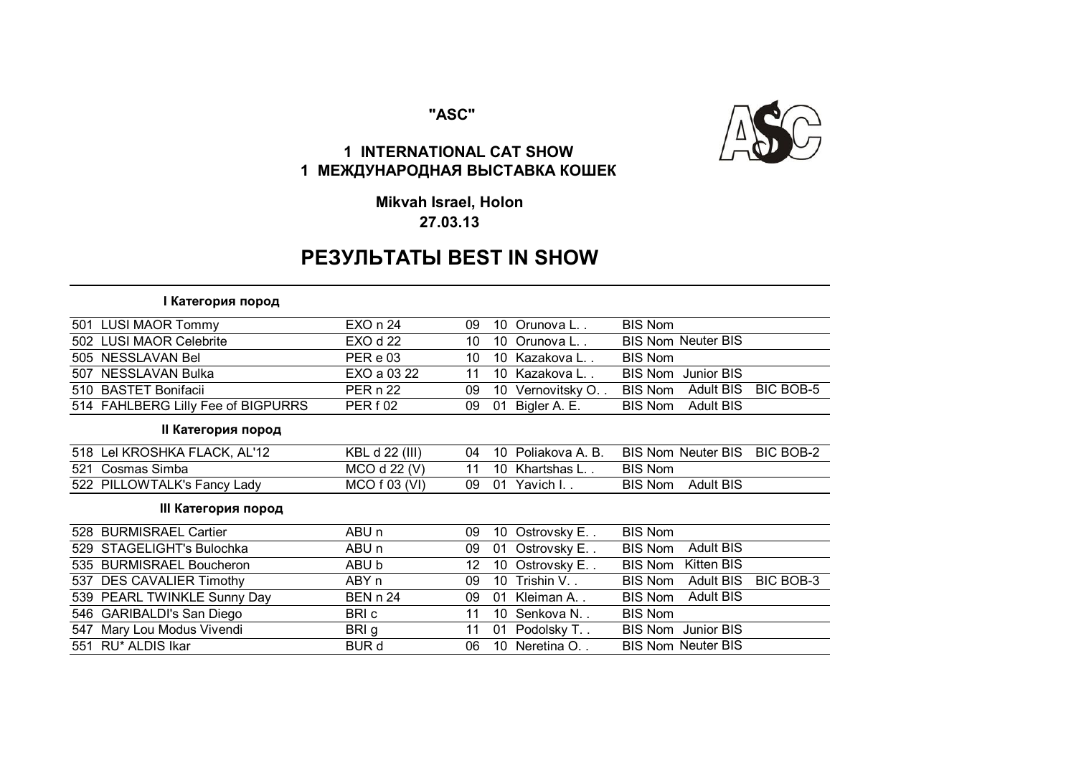### **"ASC"**



 $\overline{\phantom{0}}$ 

# **1 INTERNATIONAL CAT SHOW 1 МЕЖДУНАРОДНАЯ ВЫСТАВКА КОШЕК**

**Mikvah Israel, Holon 27.03.13**

# **РЕЗУЛЬТАТЫ BEST IN SHOW**

#### **I Категория пород**

|     | 501 LUSI MAOR Tommy                | EXO n 24            | 09 | 10 | Orunova L        | <b>BIS Nom</b> |                           |           |
|-----|------------------------------------|---------------------|----|----|------------------|----------------|---------------------------|-----------|
| 502 | <b>LUSI MAOR Celebrite</b>         | <b>EXO d 22</b>     | 10 | 10 | Orunova L        |                | <b>BIS Nom Neuter BIS</b> |           |
|     | 505 NESSLAVAN Bel                  | PER e 03            | 10 |    | 10 Kazakova L    | <b>BIS Nom</b> |                           |           |
| 507 | <b>NESSLAVAN Bulka</b>             | EXO a 03 22         | 11 |    | 10 Kazakova L    | <b>BIS Nom</b> | Junior BIS                |           |
| 510 | <b>BASTET Bonifacii</b>            | <b>PER n 22</b>     | 09 | 10 | Vernovitsky O. . | <b>BIS Nom</b> | <b>Adult BIS</b>          | BIC BOB-5 |
|     | 514 FAHLBERG Lilly Fee of BIGPURRS | PER <sub>f</sub> 02 | 09 | 01 | Bigler A. E.     | <b>BIS Nom</b> | <b>Adult BIS</b>          |           |
|     | II Категория пород                 |                     |    |    |                  |                |                           |           |
|     | 518 Lel KROSHKA FLACK, AL'12       | KBL d 22 (III)      | 04 | 10 | Poliakova A. B.  |                | <b>BIS Nom Neuter BIS</b> | BIC BOB-2 |
| 521 | Cosmas Simba                       | MCO d 22 (V)        | 11 | 10 | Khartshas L      | <b>BIS Nom</b> |                           |           |
|     | 522 PILLOWTALK's Fancy Lady        | MCO f 03 (VI)       | 09 |    | 01 Yavich I      | <b>BIS Nom</b> | <b>Adult BIS</b>          |           |
|     | III Категория пород                |                     |    |    |                  |                |                           |           |
| 528 | <b>BURMISRAEL Cartier</b>          | ABU <sub>n</sub>    | 09 | 10 | Ostrovsky E. .   | <b>BIS Nom</b> |                           |           |
| 529 | <b>STAGELIGHT's Bulochka</b>       | ABU <sub>n</sub>    | 09 | 01 | Ostrovsky E      | <b>BIS Nom</b> | <b>Adult BIS</b>          |           |
| 535 | <b>BURMISRAEL Boucheron</b>        | ABU b               | 12 | 10 | Ostrovsky E      | <b>BIS Nom</b> | Kitten BIS                |           |
| 537 | <b>DES CAVALIER Timothy</b>        | ABY n               | 09 | 10 | Trishin V        | <b>BIS Nom</b> | <b>Adult BIS</b>          | BIC BOB-3 |
|     | 539 PEARL TWINKLE Sunny Day        | <b>BEN n 24</b>     | 09 | 01 | Kleiman A        | <b>BIS Nom</b> | <b>Adult BIS</b>          |           |
|     | 546 GARIBALDI's San Diego          | BRI c               | 11 | 10 | Senkova N        | <b>BIS Nom</b> |                           |           |
|     | 547 Mary Lou Modus Vivendi         | BRI g               | 11 | 01 | Podolsky T. .    | <b>BIS Nom</b> | Junior BIS                |           |
|     | 551 RU* ALDIS Ikar                 | <b>BUR d</b>        | 06 | 10 | Neretina O. .    |                | <b>BIS Nom Neuter BIS</b> |           |
|     |                                    |                     |    |    |                  |                |                           |           |